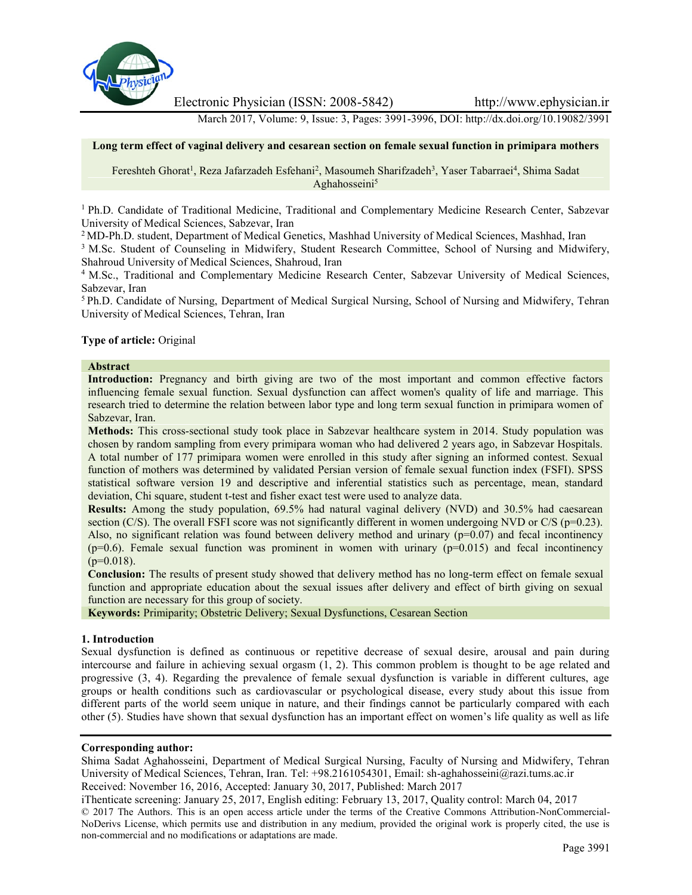

Electronic Physician (ISSN: 2008-5842) http://www.ephysician.ir

March 2017, Volume: 9, Issue: 3, Pages: 3991-3996, DOI: http://dx.doi.org/10.19082/3991

# **Long term effect ofvaginal delivery and cesarean section on female sexual function in primipara mothers**

Fereshteh Ghorat<sup>1</sup>, Reza Jafarzadeh Esfehani<sup>2</sup>, Masoumeh Sharifzadeh<sup>3</sup>, Yaser Tabarraei<sup>4</sup>, Shima Sadat Aghahosseini<sup>5</sup>

<sup>1</sup> Ph.D. Candidate of Traditional Medicine, Traditional and Complementary Medicine Research Center, Sabzevar University of Medical Sciences, Sabzevar, Iran

<sup>2</sup> MD-Ph.D. student, Department of Medical Genetics, Mashhad University of Medical Sciences, Mashhad, Iran

<sup>3</sup> M.Sc. Student of Counseling in Midwifery, Student Research Committee, School of Nursing and Midwifery, Shahroud University of Medical Sciences, Shahroud, Iran

<sup>4</sup> M.Sc., Traditional and Complementary Medicine Research Center, Sabzevar University of Medical Sciences, Sabzevar, Iran

<sup>5</sup> Ph.D. Candidate of Nursing, Department of Medical Surgical Nursing, School of Nursing and Midwifery, Tehran University of Medical Sciences, Tehran, Iran

## **Type of article:** Original

### **Abstract**

**Introduction:** Pregnancy and birth giving are two of the most important and common effective factors influencing female sexual function. Sexual dysfunction can affect women's quality of life and marriage. This research tried to determine the relation between labor type and long term sexual function in primipara women of Sabzevar, Iran.

**Methods:** This cross-sectional study took place in Sabzevar healthcare system in 2014. Study population was chosen by random sampling from every primipara woman who had delivered 2 years ago, in Sabzevar Hospitals. A total number of 177 primipara women were enrolled in this study after signing an informed contest. Sexual function of mothers was determined by validated Persian version of female sexual function index (FSFI). SPSS statistical software version 19 and descriptive and inferential statistics such as percentage, mean, standard deviation, Chi square, student t-test and fisher exact test were used to analyze data.

**Results:** Among the study population, 69.5% had natural vaginal delivery (NVD) and 30.5% had caesarean section (C/S). The overall FSFI score was not significantly different in women undergoing NVD or C/S ( $p=0.23$ ). Also, no significant relation was found between delivery method and urinary  $(p=0.07)$  and fecal incontinency  $(p=0.6)$ . Female sexual function was prominent in women with urinary  $(p=0.015)$  and fecal incontinency  $(p=0.018)$ .

**Conclusion:** The results of present study showed that delivery method has no long-term effect on female sexual function and appropriate education about the sexual issues after delivery and effect of birth giving on sexual function are necessary for this group of society.

**Keywords:** Primiparity; Obstetric Delivery; Sexual Dysfunctions, Cesarean Section

## **1. Introduction**

Sexual dysfunction is defined as continuous or repetitive decrease of sexual desire, arousal and pain during intercourse and failure in achieving sexual orgasm (1, 2). This common problem is thought to be age related and progressive (3, 4). Regarding the prevalence of female sexual dysfunction is variable in different cultures, age groups or health conditions such as cardiovascular or psychological disease, every study about this issue from different parts of the world seem unique in nature, and their findings cannot be particularly compared with each other (5). Studies have shown that sexual dysfunction has an important effect on women's life quality as well as life

### **Corresponding author:**

Shima Sadat Aghahosseini, Department of Medical Surgical Nursing, Faculty of Nursing and Midwifery, Tehran University of Medical Sciences, Tehran, Iran. Tel: +98.2161054301, Email: sh-aghahosseini@razi.tums.ac.ir Received: November 16, 2016, Accepted: January 30, 2017, Published: March 2017

iThenticate screening: January 25, 2017, English editing: February 13, 2017, Quality control: March 04, 2017 © 2017 The Authors. This is an open access article under the terms of the Creative Commons Attribution-NonCommercial- NoDerivs License, which permits use and distribution in any medium, provided the original work is properly cited, the use is non-commercial and no modifications or adaptations are made.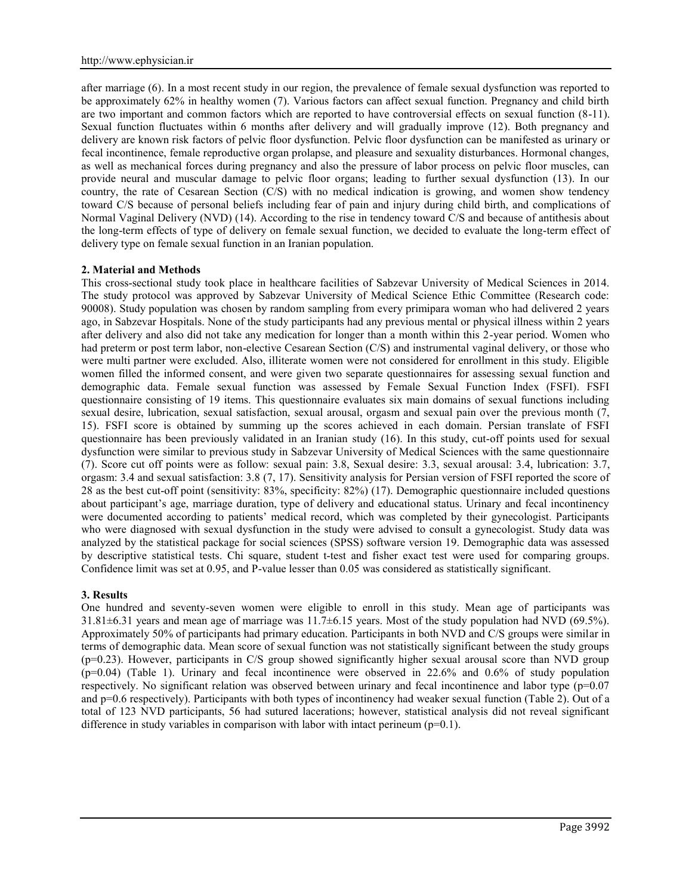after marriage (6). In a most recent study in our region, the prevalence of female sexual dysfunction was reported to be approximately 62% in healthy women (7). Various factors can affect sexual function. Pregnancy and child birth are two important and common factors which are reported to have controversial effects on sexual function (8-11). Sexual function fluctuates within 6 months after delivery and will gradually improve (12). Both pregnancy and delivery are known risk factors of pelvic floor dysfunction. Pelvic floor dysfunction can be manifested as urinary or fecal incontinence, female reproductive organ prolapse, and pleasure and sexuality disturbances. Hormonal changes, as well as mechanical forces during pregnancy and also the pressure of labor process on pelvic floor muscles, can provide neural and muscular damage to pelvic floor organs; leading to further sexual dysfunction (13). In our country, the rate of Cesarean Section (C/S) with no medical indication is growing, and women show tendency toward C/S because of personal beliefs including fear of pain and injury during child birth, and complications of Normal Vaginal Delivery (NVD) (14). According to the rise in tendency toward C/S and because of antithesis about the long-term effects of type of delivery on female sexual function, we decided to evaluate the long-term effect of delivery type on female sexual function in an Iranian population.

## **2. Material and Methods**

This cross-sectional study took place in healthcare facilities of Sabzevar University of Medical Sciences in 2014. The study protocol was approved by Sabzevar University of Medical Science Ethic Committee (Research code: 90008). Study population was chosen by random sampling from every primipara woman who had delivered 2 years ago, in Sabzevar Hospitals. None of the study participants had any previous mental or physical illness within 2 years after delivery and also did not take any medication for longer than a month within this 2-year period. Women who had preterm or post term labor, non-elective Cesarean Section (C/S) and instrumental vaginal delivery, or those who were multi partner were excluded. Also, illiterate women were not considered for enrollment in this study. Eligible women filled the informed consent, and were given two separate questionnaires for assessing sexual function and demographic data. Female sexual function was assessed by Female Sexual Function Index (FSFI). FSFI questionnaire consisting of 19 items. This questionnaire evaluates six main domains of sexual functions including sexual desire, lubrication, sexual satisfaction, sexual arousal, orgasm and sexual pain over the previous month (7, 15). FSFI score is obtained by summing up the scores achieved in each domain. Persian translate of FSFI questionnaire has been previously validated in an Iranian study (16). In this study, cut-off points used for sexual dysfunction were similar to previous study in Sabzevar University of Medical Sciences with the same questionnaire (7). Score cut off points were as follow: sexual pain: 3.8, Sexual desire: 3.3, sexual arousal: 3.4, lubrication: 3.7, orgasm: 3.4 and sexual satisfaction: 3.8 (7, 17). Sensitivity analysis for Persian version of FSFI reported the score of 28 as the best cut-off point (sensitivity: 83%, specificity: 82%) (17). Demographic questionnaire included questions about participant's age, marriage duration, type of delivery and educational status. Urinary and fecal incontinency were documented according to patients' medical record, which was completed by their gynecologist. Participants who were diagnosed with sexual dysfunction in the study were advised to consult a gynecologist. Study data was analyzed by the statistical package for social sciences (SPSS) software version 19. Demographic data was assessed by descriptive statistical tests. Chi square, student t-test and fisher exact test were used for comparing groups. Confidence limit was set at 0.95, and P-value lesser than 0.05 was considered as statistically significant.

## **3. Results**

One hundred and seventy-seven women were eligible to enroll in this study. Mean age of participants was  $31.81\pm6.31$  years and mean age of marriage was  $11.7\pm6.15$  years. Most of the study population had NVD (69.5%). Approximately 50% of participants had primary education. Participants in both NVD and C/S groups were similar in terms of demographic data. Mean score of sexual function was not statistically significant between the study groups (p=0.23). However, participants in C/S group showed significantly higher sexual arousal score than NVD group  $(p=0.04)$  (Table 1). Urinary and fecal incontinence were observed in 22.6% and 0.6% of study population respectively. No significant relation was observed between urinary and fecal incontinence and labor type (p=0.07 and p=0.6 respectively). Participants with both types of incontinency had weaker sexual function (Table 2). Out of a total of 123 NVD participants, 56 had sutured lacerations; however, statistical analysis did not reveal significant difference in study variables in comparison with labor with intact perineum  $(p=0.1)$ .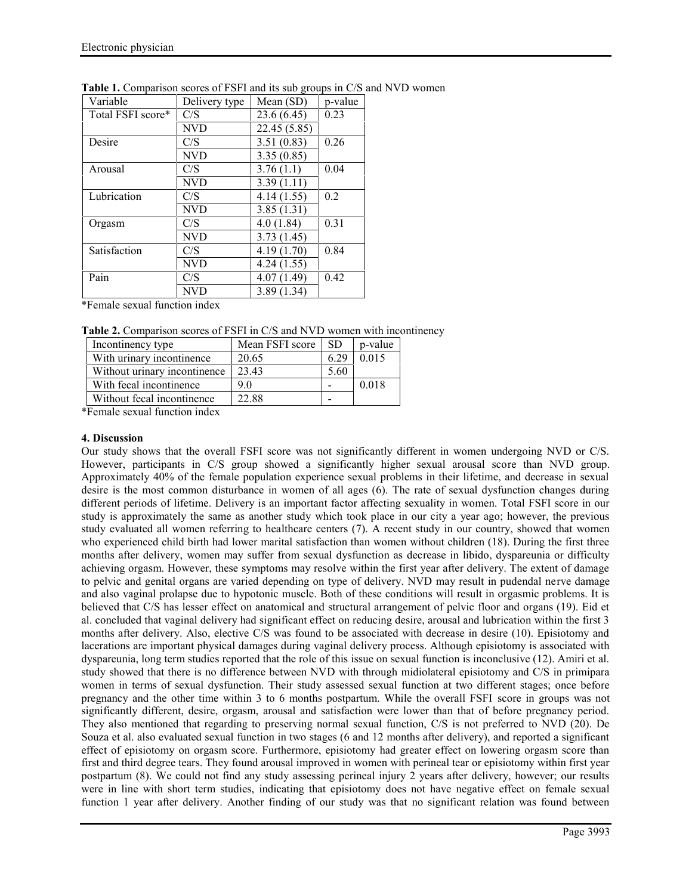| Variable          | Delivery type | Mean (SD)    | p-value |
|-------------------|---------------|--------------|---------|
| Total FSFI score* | C/S           | 23.6(6.45)   | 0.23    |
|                   | <b>NVD</b>    | 22.45 (5.85) |         |
| Desire            | C/S           | 3.51(0.83)   | 0.26    |
|                   | <b>NVD</b>    | 3.35(0.85)   |         |
| Arousal           | C/S           | 3.76(1.1)    | 0.04    |
|                   | <b>NVD</b>    | 3.39(1.11)   |         |
| Lubrication       | C/S           | 4.14(1.55)   | 0.2     |
|                   | <b>NVD</b>    | 3.85(1.31)   |         |
| Orgasm            | C/S           | 4.0(1.84)    | 0.31    |
|                   | <b>NVD</b>    | 3.73(1.45)   |         |
| Satisfaction      | C/S           | 4.19(1.70)   | 0.84    |
|                   | <b>NVD</b>    | 4.24(1.55)   |         |
| Pain              | C/S           | 4.07(1.49)   | 0.42    |
|                   | <b>NVD</b>    | 3.89(1.34)   |         |

**Table 1.** Comparison scores of FSFI and its sub groups in C/S and NVD women

\*Female sexual function index

**Table 2.** Comparison scores of FSFI in C/S and NVD women with incontinency

| Incontinency type             | Mean FSFI score | <b>SD</b> | p-value |
|-------------------------------|-----------------|-----------|---------|
| With urinary incontinence     | 20.65           | 6.29      | 0.015   |
| Without urinary incontinence  | 23.43           | 5.60      |         |
| With fecal incontinence       | 90              |           | 0.018   |
| Without fecal incontinence    | 22.88           |           |         |
| $\overline{\phantom{a}}$<br>. |                 |           |         |

\*Female sexual function index

# **4. Discussion**

Our study shows that the overall FSFI score was not significantly different in women undergoing NVD or C/S. However, participants in C/S group showed a significantly higher sexual arousal score than NVD group. Approximately 40% of the female population experience sexual problems in their lifetime, and decrease in sexual desire is the most common disturbance in women of all ages (6). The rate of sexual dysfunction changes during different periods of lifetime. Delivery is an important factor affecting sexuality in women. Total FSFI score in our study is approximately the same as another study which took place in our city a year ago; however, the previous study evaluated all women referring to healthcare centers (7). A recent study in our country, showed that women who experienced child birth had lower marital satisfaction than women without children (18). During the first three months after delivery, women may suffer from sexual dysfunction as decrease in libido, dyspareunia or difficulty achieving orgasm. However, these symptoms may resolve within the first year after delivery. The extent of damage to pelvic and genital organs are varied depending on type of delivery. NVD may result in pudendal nerve damage and also vaginal prolapse due to hypotonic muscle. Both of these conditions will result in orgasmic problems. It is believed that C/S has lesser effect on anatomical and structural arrangement of pelvic floor and organs (19). Eid et al. concluded that vaginal delivery had significant effect on reducing desire, arousal and lubrication within the first 3 months after delivery. Also, elective C/S was found to be associated with decrease in desire (10). Episiotomy and lacerations are important physical damages during vaginal delivery process. Although episiotomy is associated with dyspareunia, long term studies reported that the role of this issue on sexual function is inconclusive (12). Amiri et al. study showed that there is no difference between NVD with through midiolateral episiotomy and C/S in primipara women in terms of sexual dysfunction. Their study assessed sexual function at two different stages; once before pregnancy and the other time within 3 to 6 months postpartum. While the overall FSFI score in groups was not significantly different, desire, orgasm, arousal and satisfaction were lower than that of before pregnancy period. They also mentioned that regarding to preserving normal sexual function, C/S is not preferred to NVD (20). De Souza et al. also evaluated sexual function in two stages (6 and 12 months after delivery), and reported a significant effect of episiotomy on orgasm score. Furthermore, episiotomy had greater effect on lowering orgasm score than first and third degree tears. They found arousal improved in women with perineal tear or episiotomy within first year postpartum (8). We could not find any study assessing perineal injury 2 years after delivery, however; our results were in line with short term studies, indicating that episiotomy does not have negative effect on female sexual function 1 year after delivery. Another finding of our study was that no significant relation was found between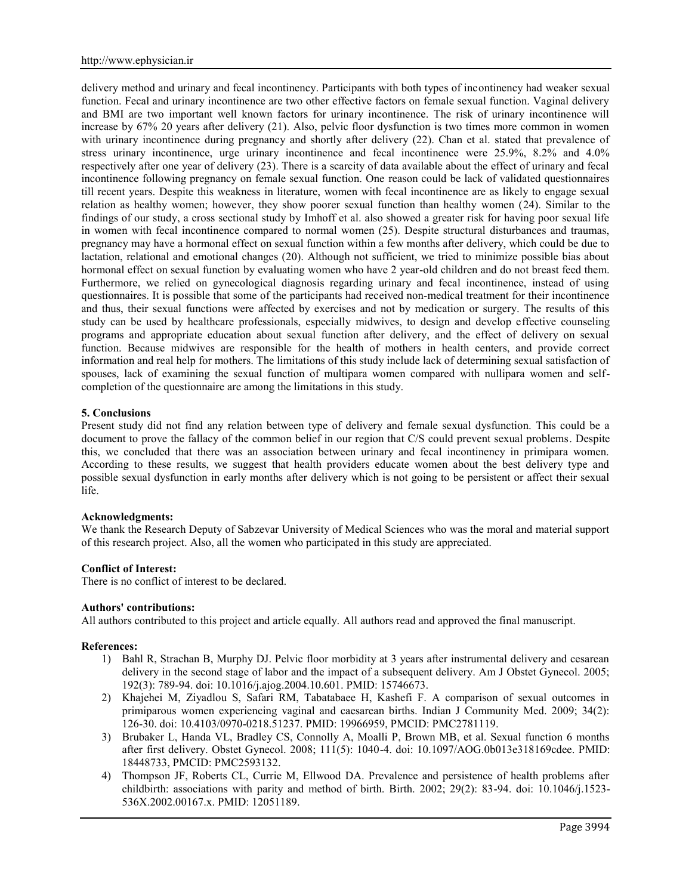delivery method and urinary and fecal incontinency. Participants with both types of incontinency had weaker sexual function. Fecal and urinary incontinence are two other effective factors on female sexual function. Vaginal delivery and BMI are two important well known factors for urinary incontinence. The risk of urinary incontinence will increase by 67% 20 years after delivery (21). Also, pelvic floor dysfunction is two times more common in women with urinary incontinence during pregnancy and shortly after delivery (22). Chan et al. stated that prevalence of stress urinary incontinence, urge urinary incontinence and fecal incontinence were 25.9%, 8.2% and 4.0% respectively after one year of delivery (23). There is a scarcity of data available about the effect of urinary and fecal incontinence following pregnancy on female sexual function. One reason could be lack of validated questionnaires till recent years. Despite this weakness in literature, women with fecal incontinence are as likely to engage sexual relation as healthy women; however, they show poorer sexual function than healthy women (24). Similar to the findings of our study, a cross sectional study by Imhoff et al. also showed a greater risk for having poor sexual life in women with fecal incontinence compared to normal women (25). Despite structural disturbances and traumas, pregnancy may have a hormonal effect on sexual function within a few months after delivery, which could be due to lactation, relational and emotional changes (20). Although not sufficient, we tried to minimize possible bias about hormonal effect on sexual function by evaluating women who have 2 year-old children and do not breast feed them. Furthermore, we relied on gynecological diagnosis regarding urinary and fecal incontinence, instead of using questionnaires. It is possible that some of the participants had received non-medical treatment for their incontinence and thus, their sexual functions were affected by exercises and not by medication or surgery. The results of this study can be used by healthcare professionals, especially midwives, to design and develop effective counseling programs and appropriate education about sexual function after delivery, and the effect of delivery on sexual function. Because midwives are responsible for the health of mothers in health centers, and provide correct information and real help for mothers. The limitations of this study include lack of determining sexual satisfaction of spouses, lack of examining the sexual function of multipara women compared with nullipara women and self completion of the questionnaire are among the limitations in this study.

## **5. Conclusions**

Present study did not find any relation between type of delivery and female sexual dysfunction. This could be a document to prove the fallacy of the common belief in our region that C/S could prevent sexual problems. Despite this, we concluded that there was an association between urinary and fecal incontinency in primipara women. According to these results, we suggest that health providers educate women about the best delivery type and possible sexual dysfunction in early months after delivery which is not going to be persistent or affect their sexual life.

## **Acknowledgments:**

We thank the Research Deputy of Sabzevar University of Medical Sciences who was the moral and material support of this research project. Also, all the women who participated in this study are appreciated.

## **Conflict of Interest:**

There is no conflict of interest to be declared.

## **Authors' contributions:**

All authors contributed to this project and article equally. All authors read and approved the final manuscript.

## **References:**

- 1) Bahl R, Strachan B, Murphy DJ. Pelvic floor morbidity at 3 years after instrumental delivery and cesarean delivery in the second stage of labor and the impact of a subsequent delivery. Am J Obstet Gynecol. 2005; 192(3): 789-94. doi: 10.1016/j.ajog.2004.10.601. PMID: 15746673.
- 2) Khajehei M, Ziyadlou S, Safari RM, Tabatabaee H, Kashefi F. A comparison of sexual outcomes in primiparous women experiencing vaginal and caesarean births. Indian J Community Med. 2009; 34(2): 126-30. doi: 10.4103/0970-0218.51237. PMID: 19966959, PMCID: PMC2781119.
- 3) Brubaker L, Handa VL, Bradley CS, Connolly A, Moalli P, Brown MB, et al. Sexual function 6 months after first delivery. Obstet Gynecol. 2008; 111(5): 1040-4. doi: 10.1097/AOG.0b013e318169cdee. PMID: 18448733, PMCID: PMC2593132.
- 4) Thompson JF, Roberts CL, Currie M, Ellwood DA. Prevalence and persistence of health problems after childbirth: associations with parity and method of birth. Birth. 2002; 29(2): 83-94. doi: 10.1046/j.1523- 536X.2002.00167.x. PMID: 12051189.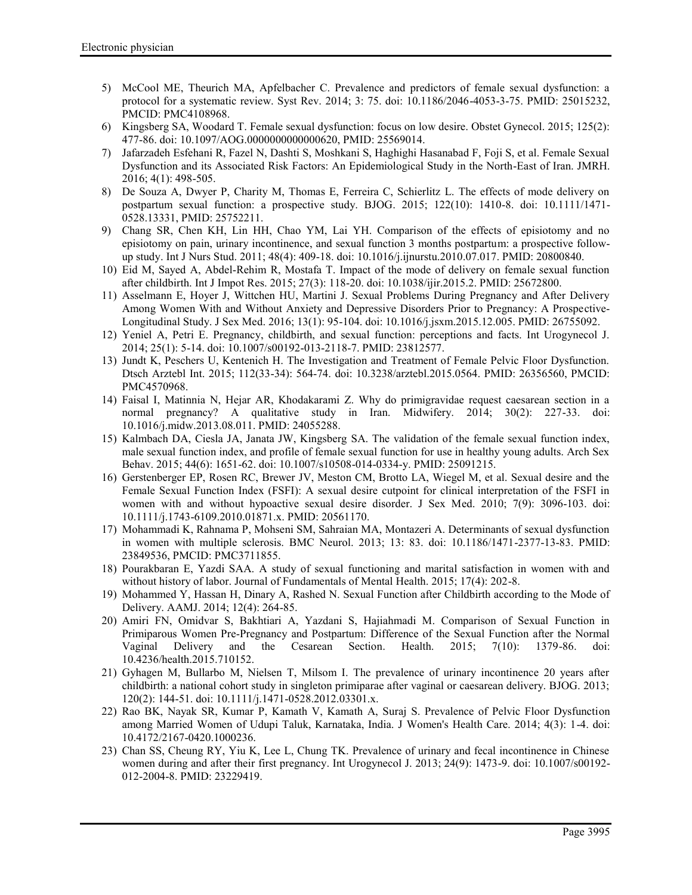- 5) McCool ME, Theurich MA, Apfelbacher C. Prevalence and predictors of female sexual dysfunction: a protocol for a systematic review. Syst Rev. 2014; 3: 75. doi: 10.1186/2046-4053-3-75. PMID: 25015232, PMCID: PMC4108968.
- 6) Kingsberg SA, Woodard T. Female sexual dysfunction: focus on low desire. Obstet Gynecol. 2015; 125(2): 477-86. doi: 10.1097/AOG.0000000000000620, PMID: 25569014.
- 7) Jafarzadeh Esfehani R, Fazel N, Dashti S, Moshkani S, Haghighi Hasanabad F, Foji S, et al. Female Sexual Dysfunction and its Associated Risk Factors: An Epidemiological Study in the North-East of Iran. JMRH. 2016; 4(1): 498-505.
- 8) De Souza A, Dwyer P, Charity M, Thomas E, Ferreira C, Schierlitz L. The effects of mode delivery on postpartum sexual function: a prospective study. BJOG. 2015; 122(10): 1410-8. doi: 10.1111/1471- 0528.13331, PMID: 25752211.
- 9) Chang SR, Chen KH, Lin HH, Chao YM, Lai YH. Comparison of the effects of episiotomy and no episiotomy on pain, urinary incontinence, and sexual function 3 months postpartum: a prospective follow up study. Int J Nurs Stud. 2011; 48(4): 409-18. doi: 10.1016/j.ijnurstu.2010.07.017. PMID: 20800840.
- 10) Eid M, Sayed A, Abdel-Rehim R, Mostafa T. Impact of the mode of delivery on female sexual function after childbirth. Int J Impot Res. 2015; 27(3): 118-20. doi: 10.1038/ijir.2015.2. PMID: 25672800.
- 11) Asselmann E, Hoyer J, Wittchen HU, Martini J. Sexual Problems During Pregnancy and After Delivery Among Women With and Without Anxiety and Depressive Disorders Prior to Pregnancy: A Prospective- Longitudinal Study. J Sex Med. 2016; 13(1): 95-104. doi: 10.1016/j.jsxm.2015.12.005. PMID: 26755092.
- 12) Yeniel A, Petri E. Pregnancy, childbirth, and sexual function: perceptions and facts. Int Urogynecol J. 2014; 25(1): 5-14. doi: 10.1007/s00192-013-2118-7. PMID: 23812577.
- 13) Jundt K, Peschers U, Kentenich H. The Investigation and Treatment of Female Pelvic Floor Dysfunction. Dtsch Arztebl Int. 2015; 112(33-34): 564-74. doi: 10.3238/arztebl.2015.0564. PMID: 26356560, PMCID: PMC4570968.
- 14) Faisal I, Matinnia N, Hejar AR, Khodakarami Z. Why do primigravidae request caesarean section in a normal pregnancy? A qualitative study in Iran. Midwifery. 2014; 30(2): 227-33. doi: 10.1016/j.midw.2013.08.011. PMID: 24055288.
- 15) Kalmbach DA, Ciesla JA, Janata JW, Kingsberg SA. The validation of the female sexual function index, male sexual function index, and profile of female sexual function for use in healthy young adults. Arch Sex Behav. 2015; 44(6): 1651-62. doi: 10.1007/s10508-014-0334-y. PMID: 25091215.
- 16) Gerstenberger EP, Rosen RC, Brewer JV, Meston CM, Brotto LA, Wiegel M, et al. Sexual desire and the Female Sexual Function Index (FSFI): A sexual desire cutpoint for clinical interpretation of the FSFI in women with and without hypoactive sexual desire disorder. J Sex Med. 2010; 7(9): 3096-103. doi: 10.1111/j.1743-6109.2010.01871.x. PMID: 20561170.
- 17) Mohammadi K, Rahnama P, Mohseni SM, Sahraian MA, Montazeri A. Determinants of sexual dysfunction in women with multiple sclerosis. BMC Neurol. 2013; 13: 83. doi: 10.1186/1471-2377-13-83. PMID: 23849536, PMCID: PMC3711855.
- 18) Pourakbaran E, Yazdi SAA. A study of sexual functioning and marital satisfaction in women with and without history of labor. Journal of Fundamentals of Mental Health. 2015; 17(4): 202-8.
- 19) Mohammed Y, Hassan H, Dinary A, Rashed N. Sexual Function after Childbirth according to the Mode of Delivery. AAMJ. 2014; 12(4): 264-85.
- 20) Amiri FN, Omidvar S, Bakhtiari A, Yazdani S, Hajiahmadi M. Comparison of Sexual Function in Primiparous Women Pre-Pregnancy and Postpartum: Difference of the Sexual Function after the Normal Vaginal Delivery and the Cesarean Section. Health. 2015; 7(10): 1379-86. doi: 10.4236/health.2015.710152.
- 21) Gyhagen M, Bullarbo M, Nielsen T, Milsom I. The prevalence of urinary incontinence 20 years after childbirth: a national cohort study in singleton primiparae after vaginal or caesarean delivery. BJOG. 2013; 120(2): 144-51. doi: 10.1111/j.1471-0528.2012.03301.x.
- 22) Rao BK, Nayak SR, Kumar P, Kamath V, Kamath A, Suraj S. Prevalence of Pelvic Floor Dysfunction among Married Women of Udupi Taluk, Karnataka, India. J Women's Health Care. 2014; 4(3): 1-4. doi: 10.4172/2167-0420.1000236.
- 23) Chan SS, Cheung RY, Yiu K, Lee L, Chung TK. Prevalence of urinary and fecal incontinence in Chinese women during and after their first pregnancy. Int Urogynecol J. 2013; 24(9): 1473-9. doi: 10.1007/s00192- 012-2004-8. PMID: 23229419.